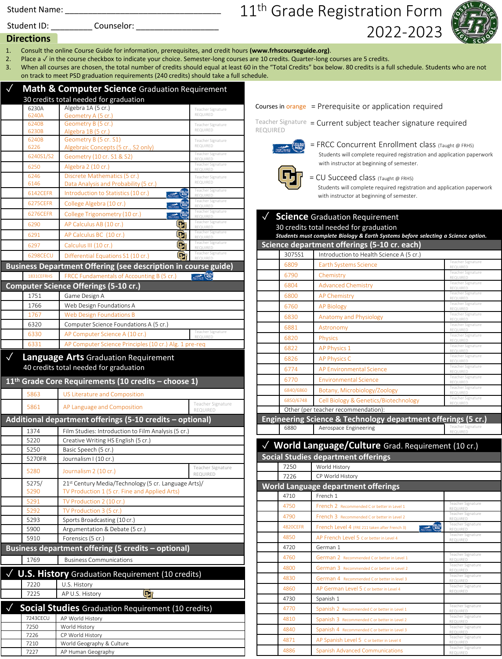Student Name:

Student ID: Counselor:

## 11<sup>th</sup> Grade Registration Form 2022-2023

Courses in orange = Prerequisite or application required



## **Directions**

- 1. Consult the online Course Guide for information, prerequisites, and credit hours **(www.frhscourseguide.org)**.
- 2. Place a √ in the course checkbox to indicate your choice. Semester-long courses are 10 credits. Quarter-long courses are 5 credits.
- 3. When all courses are chosen, the total number of credits should equal at least 60 in the "Total Credits" box below. 80 credits is a full schedule. Students who are not on track to meet PSD graduation requirements (240 credits) should take a full schedule.

|                  |                  | Math & Computer Science Graduation Requirement                 |                               |
|------------------|------------------|----------------------------------------------------------------|-------------------------------|
|                  |                  | 30 credits total needed for graduation                         |                               |
|                  | 6230A            | Algebra 1A (5 cr.)                                             | Teacher Signature             |
|                  | 6240A            | Geometry A (5 cr.)                                             | REQUIRED                      |
|                  | 6240B<br>6230B   | Geometry B (5 cr.)                                             | Teacher Signature<br>REQUIRED |
|                  | 6240B            | Algebra 1B (5 cr.)<br>Geometry B (5 cr. S1)                    | Teacher Signature             |
|                  | 6226             | Algebraic Concepts (5 cr., S2 only)                            | REQUIRED                      |
|                  | 6240S1/S2        | Geometry (10 cr. S1 & S2)                                      | Teacher Signature<br>REQUIRED |
|                  | 6250             | Algebra 2 (10 cr.)                                             | Teacher Signature<br>REQUIRED |
|                  | 6246             | Discrete Mathematics (5 cr.)                                   | Teacher Signature             |
|                  | 6146             | Data Analysis and Probability (5 cr.)                          | REQUIRED                      |
|                  | 6142CEFR         | Introduction to Statistics (10 cr.)<br><b>COLLEGE</b>          | Teacher Signature<br>REQUIRED |
|                  | 6275CEFR         | College Algebra (10 cr.)<br>COLLEGE<br>Mony                    | Teacher Signature<br>REQUIRED |
|                  | 6276CEFR         | <b>COLLEGE</b><br>College Trigonometry (10 cr.)                | Teacher Signature<br>REQUIRED |
|                  | 6290             | $\mathbf{\mathbf{\Phi}}$<br>AP Calculus AB (10 cr.)            | Teacher Signature<br>REQUIRED |
|                  | 6291             | o,<br>AP Calculus BC (10 cr.)                                  | Teacher Signature             |
|                  | 6297             | $\boldsymbol{\Xi}_1$<br>Calculus III (10 cr.)                  | REQUIRED<br>Teacher Signature |
|                  | 6298CECU         | œ                                                              | REQUIRED<br>Teacher Signature |
|                  |                  | Differential Equations S1 (10 cr.)                             |                               |
|                  |                  | Business Department Offering (see description in course guide) |                               |
|                  | 1831CEFRHS       | FRCC Fundamentals of Accounting B (5 cr.)                      | <b>BOAT ALLEY COLLEGE</b>     |
|                  |                  | <b>Computer Science Offerings (5-10 cr.)</b>                   |                               |
|                  | 1751             | Game Design A                                                  |                               |
|                  | 1766             | Web Design Foundations A                                       |                               |
|                  | 1767             | <b>Web Design Foundations B</b>                                |                               |
|                  | 6320             | Computer Science Foundations A (5 cr.)                         | Teacher Signature             |
|                  | 6330             | AP Computer Science A (10 cr.)                                 |                               |
|                  | 6331             | AP Computer Science Principles (10 cr.) Alg. 1 pre-req         |                               |
|                  |                  | <b>Language Arts Graduation Requirement</b>                    |                               |
|                  |                  | 40 credits total needed for graduation                         |                               |
|                  |                  |                                                                |                               |
| $11^{\text{th}}$ |                  | Grade Core Requirements (10 credits - choose 1)                |                               |
|                  | 5863             | US Literature and Composition                                  |                               |
|                  | 5861             | AP Language and Composition                                    | Teacher Signature<br>REQUIRED |
|                  |                  | Additional department offerings (5-10 credits - optional)      |                               |
|                  | 1374             | Film Studies: Introduction to Film Analysis (5 cr.)            |                               |
|                  | 5220             | Creative Writing HS English (5 cr.)                            |                               |
|                  | 5250             | Basic Speech (5 cr.)                                           |                               |
|                  | 5270FR           | Journalism I (10 cr.)                                          |                               |
|                  |                  |                                                                | Teacher Signature             |
|                  | 5280             | Journalism 2 (10 cr.)                                          | REQUIRED                      |
|                  | 5275/            | 21st Century Media/Technology (5 cr. Language Arts)/           |                               |
|                  | 5290             | TV Production 1 (5 cr. Fine and Applied Arts)                  |                               |
|                  | 5291             | TV Production 2 (10 cr.)                                       |                               |
|                  | 5292             | TV Production 3 (5 cr.)                                        |                               |
|                  | 5293<br>5900     | Sports Broadcasting (10 cr.)<br>Argumentation & Debate (5 cr.) |                               |
|                  | 5910             | Forensics (5 cr.)                                              |                               |
|                  |                  | Business department offering (5 credits - optional)            |                               |
|                  |                  |                                                                |                               |
|                  | 1769             | <b>Business Communications</b>                                 |                               |
| $\sqrt{2}$       |                  | <b>U.S. History</b> Graduation Requirement (10 credits)        |                               |
|                  | 7220             | U.S. History                                                   |                               |
|                  | 7225             | Ġr<br>AP U.S. History                                          |                               |
|                  |                  |                                                                |                               |
|                  |                  | <b>Social Studies</b> Graduation Requirement (10 credits)      |                               |
|                  | 7243CECU<br>7250 | AP World History                                               |                               |
|                  | 7226             | World History<br>CP World History                              |                               |
|                  | 7210             | World Geography & Culture                                      |                               |
|                  | 7227             | AP Human Geography                                             |                               |



= FRCC Concurrent Enrollment class (Taught @ FRHS) Students will complete required registration and application paperwork with instructor at beginning of semester.



= CU Succeed class (Taught @ FRHS)

Students will complete required registration and application paperwork with instructor at beginning of semester.

|                 | √ Science Graduation Requirement<br>30 credits total needed for graduation<br>Students must complete Biology & Earth Systems before selecting a Science option. |                               |
|-----------------|-----------------------------------------------------------------------------------------------------------------------------------------------------------------|-------------------------------|
|                 | Science department offerings (5-10 cr. each)                                                                                                                    |                               |
| 3075S1          | Introduction to Health Science A (5 cr.)                                                                                                                        |                               |
| 6809            | <b>Earth Systems Science</b>                                                                                                                                    | Teacher Signature<br>REQUIRED |
| 6790            | Chemistry                                                                                                                                                       | Teacher Signature<br>REQUIRED |
| 6804            | <b>Advanced Chemistry</b>                                                                                                                                       | Teacher Signature<br>REQUIRED |
| 6800            | <b>AP Chemistry</b>                                                                                                                                             | Teacher Signature<br>REQUIRED |
| 6760            | <b>AP Biology</b>                                                                                                                                               | Teacher Signature<br>REQUIRED |
| 6830            | <b>Anatomy and Physiology</b>                                                                                                                                   | Teacher Signature<br>REQUIRED |
| 6881            | Astronomy                                                                                                                                                       | Teacher Signature<br>REQUIRED |
| 6820            | <b>Physics</b>                                                                                                                                                  | Teacher Signature<br>REQUIRED |
| 6822            | AP Physics 1                                                                                                                                                    | Teacher Signature             |
| 6826            | <b>AP Physics C</b>                                                                                                                                             | REQUIRED<br>Teacher Signature |
| 6774            | <b>AP Environmental Science</b>                                                                                                                                 | REQUIRED<br>Teacher Signature |
| 6770            | <b>Environmental Science</b>                                                                                                                                    | REQUIRED<br>Teacher Signature |
| 6840/6860       | Botany, Microbiology/Zoology                                                                                                                                    | REQUIRED<br>Teacher Signature |
| 6850/6748       | Cell Biology & Genetics/Biotechnology                                                                                                                           | REQUIRED<br>Teacher Signature |
|                 | Other (per teacher recommendation):                                                                                                                             | REQUIRED                      |
|                 | Engineering Science & Technology department offerings (5 cr.)                                                                                                   |                               |
| 6880            | Aerospace Engineering                                                                                                                                           | Teacher Signature<br>REQUIRED |
|                 |                                                                                                                                                                 |                               |
|                 | √ World Language/Culture Grad. Requirement (10 cr.)                                                                                                             |                               |
|                 | <b>Social Studies department offerings</b>                                                                                                                      |                               |
| 7250            | World History                                                                                                                                                   |                               |
| 7226            | CP World History                                                                                                                                                |                               |
|                 | World Language department offerings                                                                                                                             |                               |
| 4710            | French 1                                                                                                                                                        | Teacher Signature             |
| 4750            | French 2 Recommended C or better in Level 1                                                                                                                     | REQUIRED<br>Teacher Signature |
| 4790            | French 3 Recommended C or better in Level 2                                                                                                                     | REQUIRED<br>Teacher Signature |
| <b>4820CEFR</b> | <b>COLLEGE</b><br>French Level 4 (FRE 211 taken after French 3)                                                                                                 | REQUIRED                      |
| 4850            | AP French Level 5 C or better in Level 4                                                                                                                        | Teacher Signature<br>REQUIRED |
| 4720            | German 1                                                                                                                                                        | Teacher Signature             |
| 4760            | German 2 Recommended C or better in Level 1                                                                                                                     | REQUIRED                      |
| 4800            | German 3 Recommended C or better in Level 2                                                                                                                     | Teacher Signature<br>REQUIRED |
| 4830            | German 4 Recommended C or better in level 3                                                                                                                     | Teacher Signature<br>REQUIRED |
| 4860            | AP German Level 5 C or better in Level 4                                                                                                                        | Teacher Signature<br>REQUIRED |
| 4730            | Spanish 1                                                                                                                                                       |                               |

4770 Spanish 2 Recommended C or better in Level 1

4810 Spanish 3 Recommended C or better in Level 2

4840 Spanish 4 Recommended C or better in Level 3

4886 Spanish Advanced Communications

4871 AP Spanish Level 5 C or better

Teacher Signature REQUIRED

Teacher Signature REQUIRED

Teacher Signature REQUIRED

Teacher Signature REQUIRED

REQUIRED